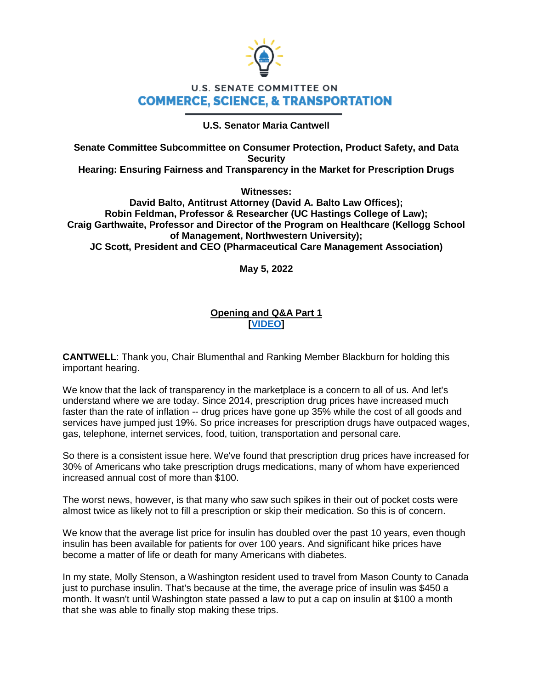

# **U.S. SENATE COMMITTEE ON COMMERCE, SCIENCE, & TRANSPORTATION**

# **U.S. Senator Maria Cantwell**

**Senate Committee Subcommittee on Consumer Protection, Product Safety, and Data Security** 

**Hearing: Ensuring Fairness and Transparency in the Market for Prescription Drugs** 

**Witnesses:** 

**David Balto, Antitrust Attorney (David A. Balto Law Offices); Robin Feldman, Professor & Researcher (UC Hastings College of Law); Craig Garthwaite, Professor and Director of the Program on Healthcare (Kellogg School of Management, Northwestern University); JC Scott, President and CEO (Pharmaceutical Care Management Association)**

**May 5, 2022**

# **Opening and Q&A Part 1 [\[VIDEO\]](https://www.cantwell.senate.gov/imo/media/video/05052022%20PBM%20Hearing%20Q&A.mp4)**

**CANTWELL**: Thank you, Chair Blumenthal and Ranking Member Blackburn for holding this important hearing.

We know that the lack of transparency in the marketplace is a concern to all of us. And let's understand where we are today. Since 2014, prescription drug prices have increased much faster than the rate of inflation -- drug prices have gone up 35% while the cost of all goods and services have jumped just 19%. So price increases for prescription drugs have outpaced wages, gas, telephone, internet services, food, tuition, transportation and personal care.

So there is a consistent issue here. We've found that prescription drug prices have increased for 30% of Americans who take prescription drugs medications, many of whom have experienced increased annual cost of more than \$100.

The worst news, however, is that many who saw such spikes in their out of pocket costs were almost twice as likely not to fill a prescription or skip their medication. So this is of concern.

We know that the average list price for insulin has doubled over the past 10 years, even though insulin has been available for patients for over 100 years. And significant hike prices have become a matter of life or death for many Americans with diabetes.

In my state, Molly Stenson, a Washington resident used to travel from Mason County to Canada just to purchase insulin. That's because at the time, the average price of insulin was \$450 a month. It wasn't until Washington state passed a law to put a cap on insulin at \$100 a month that she was able to finally stop making these trips.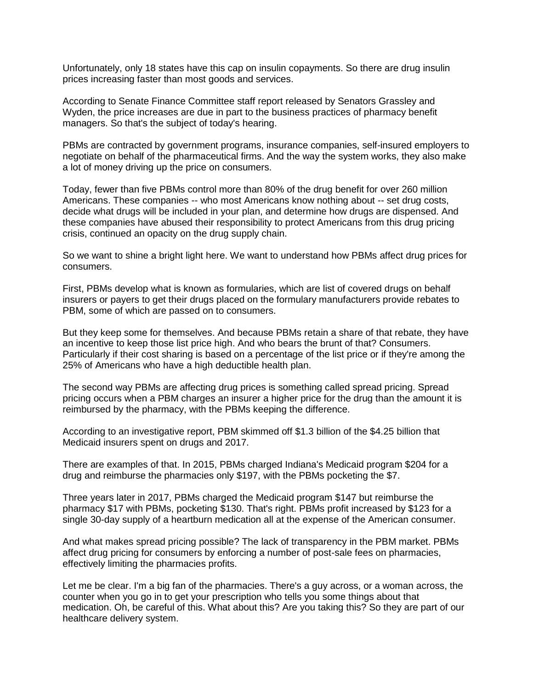Unfortunately, only 18 states have this cap on insulin copayments. So there are drug insulin prices increasing faster than most goods and services.

According to Senate Finance Committee staff report released by Senators Grassley and Wyden, the price increases are due in part to the business practices of pharmacy benefit managers. So that's the subject of today's hearing.

PBMs are contracted by government programs, insurance companies, self-insured employers to negotiate on behalf of the pharmaceutical firms. And the way the system works, they also make a lot of money driving up the price on consumers.

Today, fewer than five PBMs control more than 80% of the drug benefit for over 260 million Americans. These companies -- who most Americans know nothing about -- set drug costs, decide what drugs will be included in your plan, and determine how drugs are dispensed. And these companies have abused their responsibility to protect Americans from this drug pricing crisis, continued an opacity on the drug supply chain.

So we want to shine a bright light here. We want to understand how PBMs affect drug prices for consumers.

First, PBMs develop what is known as formularies, which are list of covered drugs on behalf insurers or payers to get their drugs placed on the formulary manufacturers provide rebates to PBM, some of which are passed on to consumers.

But they keep some for themselves. And because PBMs retain a share of that rebate, they have an incentive to keep those list price high. And who bears the brunt of that? Consumers. Particularly if their cost sharing is based on a percentage of the list price or if they're among the 25% of Americans who have a high deductible health plan.

The second way PBMs are affecting drug prices is something called spread pricing. Spread pricing occurs when a PBM charges an insurer a higher price for the drug than the amount it is reimbursed by the pharmacy, with the PBMs keeping the difference.

According to an investigative report, PBM skimmed off \$1.3 billion of the \$4.25 billion that Medicaid insurers spent on drugs and 2017.

There are examples of that. In 2015, PBMs charged Indiana's Medicaid program \$204 for a drug and reimburse the pharmacies only \$197, with the PBMs pocketing the \$7.

Three years later in 2017, PBMs charged the Medicaid program \$147 but reimburse the pharmacy \$17 with PBMs, pocketing \$130. That's right. PBMs profit increased by \$123 for a single 30-day supply of a heartburn medication all at the expense of the American consumer.

And what makes spread pricing possible? The lack of transparency in the PBM market. PBMs affect drug pricing for consumers by enforcing a number of post-sale fees on pharmacies, effectively limiting the pharmacies profits.

Let me be clear. I'm a big fan of the pharmacies. There's a guy across, or a woman across, the counter when you go in to get your prescription who tells you some things about that medication. Oh, be careful of this. What about this? Are you taking this? So they are part of our healthcare delivery system.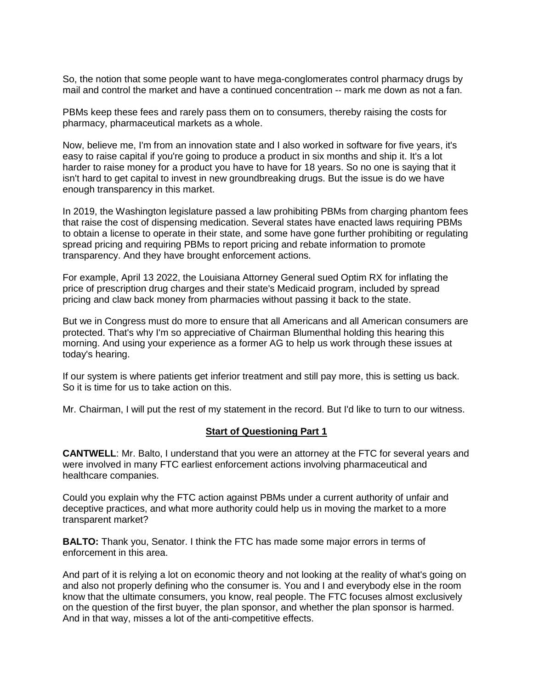So, the notion that some people want to have mega-conglomerates control pharmacy drugs by mail and control the market and have a continued concentration -- mark me down as not a fan.

PBMs keep these fees and rarely pass them on to consumers, thereby raising the costs for pharmacy, pharmaceutical markets as a whole.

Now, believe me, I'm from an innovation state and I also worked in software for five years, it's easy to raise capital if you're going to produce a product in six months and ship it. It's a lot harder to raise money for a product you have to have for 18 years. So no one is saying that it isn't hard to get capital to invest in new groundbreaking drugs. But the issue is do we have enough transparency in this market.

In 2019, the Washington legislature passed a law prohibiting PBMs from charging phantom fees that raise the cost of dispensing medication. Several states have enacted laws requiring PBMs to obtain a license to operate in their state, and some have gone further prohibiting or regulating spread pricing and requiring PBMs to report pricing and rebate information to promote transparency. And they have brought enforcement actions.

For example, April 13 2022, the Louisiana Attorney General sued Optim RX for inflating the price of prescription drug charges and their state's Medicaid program, included by spread pricing and claw back money from pharmacies without passing it back to the state.

But we in Congress must do more to ensure that all Americans and all American consumers are protected. That's why I'm so appreciative of Chairman Blumenthal holding this hearing this morning. And using your experience as a former AG to help us work through these issues at today's hearing.

If our system is where patients get inferior treatment and still pay more, this is setting us back. So it is time for us to take action on this.

Mr. Chairman, I will put the rest of my statement in the record. But I'd like to turn to our witness.

#### **Start of Questioning Part 1**

**CANTWELL**: Mr. Balto, I understand that you were an attorney at the FTC for several years and were involved in many FTC earliest enforcement actions involving pharmaceutical and healthcare companies.

Could you explain why the FTC action against PBMs under a current authority of unfair and deceptive practices, and what more authority could help us in moving the market to a more transparent market?

**BALTO:** Thank you, Senator. I think the FTC has made some major errors in terms of enforcement in this area.

And part of it is relying a lot on economic theory and not looking at the reality of what's going on and also not properly defining who the consumer is. You and I and everybody else in the room know that the ultimate consumers, you know, real people. The FTC focuses almost exclusively on the question of the first buyer, the plan sponsor, and whether the plan sponsor is harmed. And in that way, misses a lot of the anti-competitive effects.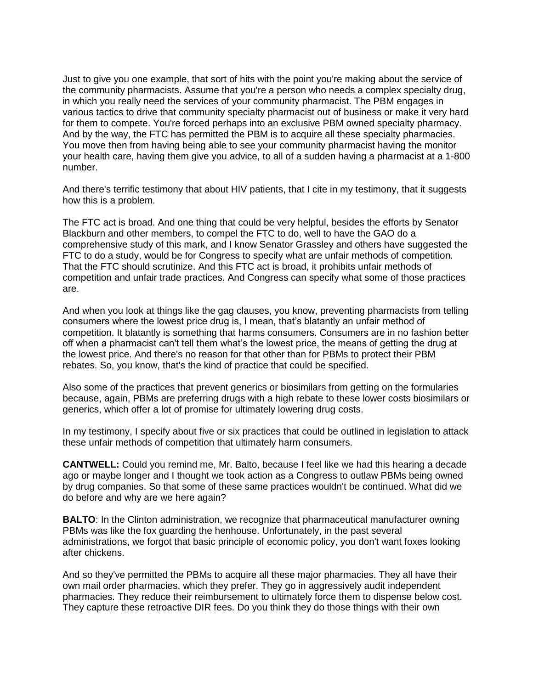Just to give you one example, that sort of hits with the point you're making about the service of the community pharmacists. Assume that you're a person who needs a complex specialty drug, in which you really need the services of your community pharmacist. The PBM engages in various tactics to drive that community specialty pharmacist out of business or make it very hard for them to compete. You're forced perhaps into an exclusive PBM owned specialty pharmacy. And by the way, the FTC has permitted the PBM is to acquire all these specialty pharmacies. You move then from having being able to see your community pharmacist having the monitor your health care, having them give you advice, to all of a sudden having a pharmacist at a 1-800 number.

And there's terrific testimony that about HIV patients, that I cite in my testimony, that it suggests how this is a problem.

The FTC act is broad. And one thing that could be very helpful, besides the efforts by Senator Blackburn and other members, to compel the FTC to do, well to have the GAO do a comprehensive study of this mark, and I know Senator Grassley and others have suggested the FTC to do a study, would be for Congress to specify what are unfair methods of competition. That the FTC should scrutinize. And this FTC act is broad, it prohibits unfair methods of competition and unfair trade practices. And Congress can specify what some of those practices are.

And when you look at things like the gag clauses, you know, preventing pharmacists from telling consumers where the lowest price drug is, I mean, that's blatantly an unfair method of competition. It blatantly is something that harms consumers. Consumers are in no fashion better off when a pharmacist can't tell them what's the lowest price, the means of getting the drug at the lowest price. And there's no reason for that other than for PBMs to protect their PBM rebates. So, you know, that's the kind of practice that could be specified.

Also some of the practices that prevent generics or biosimilars from getting on the formularies because, again, PBMs are preferring drugs with a high rebate to these lower costs biosimilars or generics, which offer a lot of promise for ultimately lowering drug costs.

In my testimony, I specify about five or six practices that could be outlined in legislation to attack these unfair methods of competition that ultimately harm consumers.

**CANTWELL:** Could you remind me, Mr. Balto, because I feel like we had this hearing a decade ago or maybe longer and I thought we took action as a Congress to outlaw PBMs being owned by drug companies. So that some of these same practices wouldn't be continued. What did we do before and why are we here again?

**BALTO:** In the Clinton administration, we recognize that pharmaceutical manufacturer owning PBMs was like the fox guarding the henhouse. Unfortunately, in the past several administrations, we forgot that basic principle of economic policy, you don't want foxes looking after chickens.

And so they've permitted the PBMs to acquire all these major pharmacies. They all have their own mail order pharmacies, which they prefer. They go in aggressively audit independent pharmacies. They reduce their reimbursement to ultimately force them to dispense below cost. They capture these retroactive DIR fees. Do you think they do those things with their own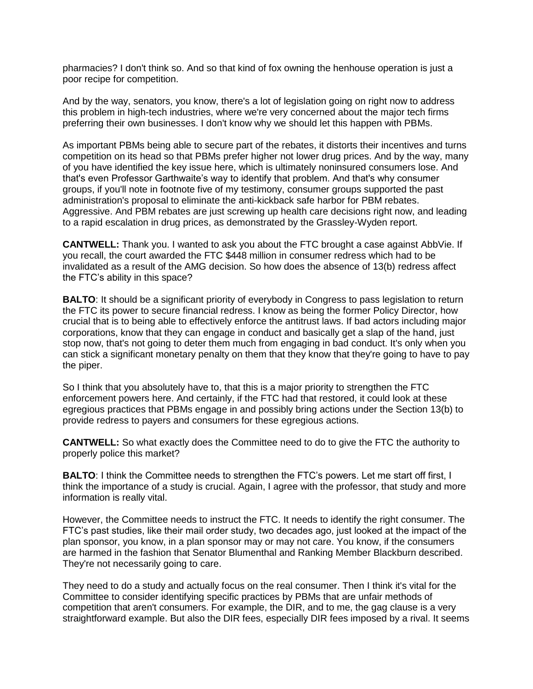pharmacies? I don't think so. And so that kind of fox owning the henhouse operation is just a poor recipe for competition.

And by the way, senators, you know, there's a lot of legislation going on right now to address this problem in high-tech industries, where we're very concerned about the major tech firms preferring their own businesses. I don't know why we should let this happen with PBMs.

As important PBMs being able to secure part of the rebates, it distorts their incentives and turns competition on its head so that PBMs prefer higher not lower drug prices. And by the way, many of you have identified the key issue here, which is ultimately noninsured consumers lose. And that's even Professor Garthwaite's way to identify that problem. And that's why consumer groups, if you'll note in footnote five of my testimony, consumer groups supported the past administration's proposal to eliminate the anti-kickback safe harbor for PBM rebates. Aggressive. And PBM rebates are just screwing up health care decisions right now, and leading to a rapid escalation in drug prices, as demonstrated by the Grassley-Wyden report.

**CANTWELL:** Thank you. I wanted to ask you about the FTC brought a case against AbbVie. If you recall, the court awarded the FTC \$448 million in consumer redress which had to be invalidated as a result of the AMG decision. So how does the absence of 13(b) redress affect the FTC's ability in this space?

**BALTO:** It should be a significant priority of everybody in Congress to pass legislation to return the FTC its power to secure financial redress. I know as being the former Policy Director, how crucial that is to being able to effectively enforce the antitrust laws. If bad actors including major corporations, know that they can engage in conduct and basically get a slap of the hand, just stop now, that's not going to deter them much from engaging in bad conduct. It's only when you can stick a significant monetary penalty on them that they know that they're going to have to pay the piper.

So I think that you absolutely have to, that this is a major priority to strengthen the FTC enforcement powers here. And certainly, if the FTC had that restored, it could look at these egregious practices that PBMs engage in and possibly bring actions under the Section 13(b) to provide redress to payers and consumers for these egregious actions.

**CANTWELL:** So what exactly does the Committee need to do to give the FTC the authority to properly police this market?

**BALTO**: I think the Committee needs to strengthen the FTC's powers. Let me start off first, I think the importance of a study is crucial. Again, I agree with the professor, that study and more information is really vital.

However, the Committee needs to instruct the FTC. It needs to identify the right consumer. The FTC's past studies, like their mail order study, two decades ago, just looked at the impact of the plan sponsor, you know, in a plan sponsor may or may not care. You know, if the consumers are harmed in the fashion that Senator Blumenthal and Ranking Member Blackburn described. They're not necessarily going to care.

They need to do a study and actually focus on the real consumer. Then I think it's vital for the Committee to consider identifying specific practices by PBMs that are unfair methods of competition that aren't consumers. For example, the DIR, and to me, the gag clause is a very straightforward example. But also the DIR fees, especially DIR fees imposed by a rival. It seems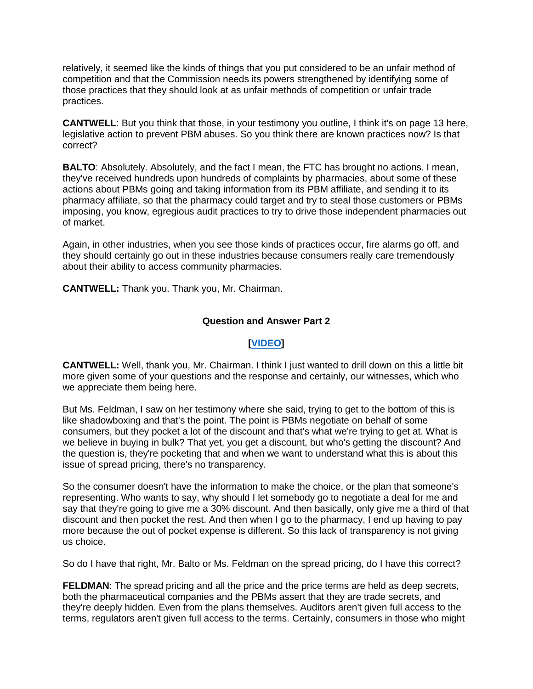relatively, it seemed like the kinds of things that you put considered to be an unfair method of competition and that the Commission needs its powers strengthened by identifying some of those practices that they should look at as unfair methods of competition or unfair trade practices.

**CANTWELL**: But you think that those, in your testimony you outline, I think it's on page 13 here, legislative action to prevent PBM abuses. So you think there are known practices now? Is that correct?

**BALTO**: Absolutely. Absolutely, and the fact I mean, the FTC has brought no actions. I mean, they've received hundreds upon hundreds of complaints by pharmacies, about some of these actions about PBMs going and taking information from its PBM affiliate, and sending it to its pharmacy affiliate, so that the pharmacy could target and try to steal those customers or PBMs imposing, you know, egregious audit practices to try to drive those independent pharmacies out of market.

Again, in other industries, when you see those kinds of practices occur, fire alarms go off, and they should certainly go out in these industries because consumers really care tremendously about their ability to access community pharmacies.

**CANTWELL:** Thank you. Thank you, Mr. Chairman.

# **Question and Answer Part 2**

# **[\[VIDEO\]](https://www.cantwell.senate.gov/download/05052022-pbm-hearing-qanda-part-2-video)**

**CANTWELL:** Well, thank you, Mr. Chairman. I think I just wanted to drill down on this a little bit more given some of your questions and the response and certainly, our witnesses, which who we appreciate them being here.

But Ms. Feldman, I saw on her testimony where she said, trying to get to the bottom of this is like shadowboxing and that's the point. The point is PBMs negotiate on behalf of some consumers, but they pocket a lot of the discount and that's what we're trying to get at. What is we believe in buying in bulk? That yet, you get a discount, but who's getting the discount? And the question is, they're pocketing that and when we want to understand what this is about this issue of spread pricing, there's no transparency.

So the consumer doesn't have the information to make the choice, or the plan that someone's representing. Who wants to say, why should I let somebody go to negotiate a deal for me and say that they're going to give me a 30% discount. And then basically, only give me a third of that discount and then pocket the rest. And then when I go to the pharmacy, I end up having to pay more because the out of pocket expense is different. So this lack of transparency is not giving us choice.

So do I have that right, Mr. Balto or Ms. Feldman on the spread pricing, do I have this correct?

**FELDMAN:** The spread pricing and all the price and the price terms are held as deep secrets, both the pharmaceutical companies and the PBMs assert that they are trade secrets, and they're deeply hidden. Even from the plans themselves. Auditors aren't given full access to the terms, regulators aren't given full access to the terms. Certainly, consumers in those who might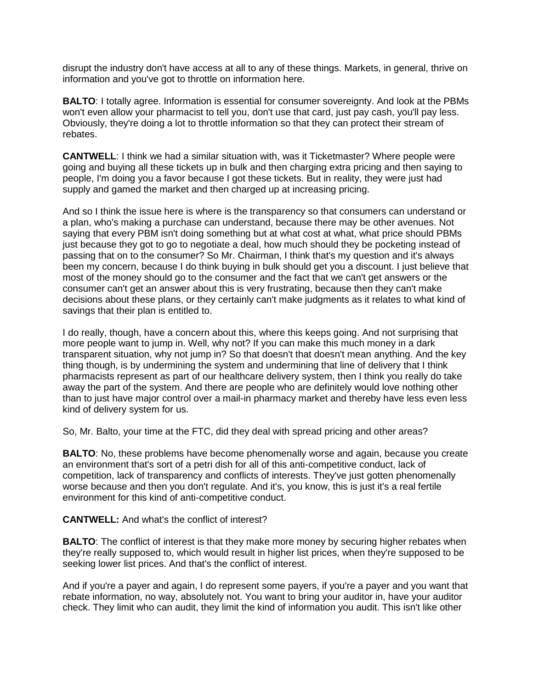disrupt the industry don't have access at all to any of these things. Markets, in general, thrive on information and you've got to throttle on information here.

**BALTO**: I totally agree. Information is essential for consumer sovereignty. And look at the PBMs won't even allow your pharmacist to tell you, don't use that card, just pay cash, you'll pay less. Obviously, they're doing a lot to throttle information so that they can protect their stream of rebates.

**CANTWELL**: I think we had a similar situation with, was it Ticketmaster? Where people were going and buying all these tickets up in bulk and then charging extra pricing and then saying to people, I'm doing you a favor because I got these tickets. But in reality, they were just had supply and gamed the market and then charged up at increasing pricing.

And so I think the issue here is where is the transparency so that consumers can understand or a plan, who's making a purchase can understand, because there may be other avenues. Not saying that every PBM isn't doing something but at what cost at what, what price should PBMs just because they got to go to negotiate a deal, how much should they be pocketing instead of passing that on to the consumer? So Mr. Chairman, I think that's my question and it's always been my concern, because I do think buying in bulk should get you a discount. I just believe that most of the money should go to the consumer and the fact that we can't get answers or the consumer can't get an answer about this is very frustrating, because then they can't make decisions about these plans, or they certainly can't make judgments as it relates to what kind of savings that their plan is entitled to.

I do really, though, have a concern about this, where this keeps going. And not surprising that more people want to jump in. Well, why not? If you can make this much money in a dark transparent situation, why not jump in? So that doesn't that doesn't mean anything. And the key thing though, is by undermining the system and undermining that line of delivery that I think pharmacists represent as part of our healthcare delivery system, then I think you really do take away the part of the system. And there are people who are definitely would love nothing other than to just have major control over a mail-in pharmacy market and thereby have less even less kind of delivery system for us.

So, Mr. Balto, your time at the FTC, did they deal with spread pricing and other areas?

**BALTO:** No, these problems have become phenomenally worse and again, because you create an environment that's sort of a petri dish for all of this anti-competitive conduct, lack of competition, lack of transparency and conflicts of interests. They've just gotten phenomenally worse because and then you don't regulate. And it's, you know, this is just it's a real fertile environment for this kind of anti-competitive conduct.

**CANTWELL:** And what's the conflict of interest?

**BALTO:** The conflict of interest is that they make more money by securing higher rebates when they're really supposed to, which would result in higher list prices, when they're supposed to be seeking lower list prices. And that's the conflict of interest.

And if you're a payer and again, I do represent some payers, if you're a payer and you want that rebate information, no way, absolutely not. You want to bring your auditor in, have your auditor check. They limit who can audit, they limit the kind of information you audit. This isn't like other